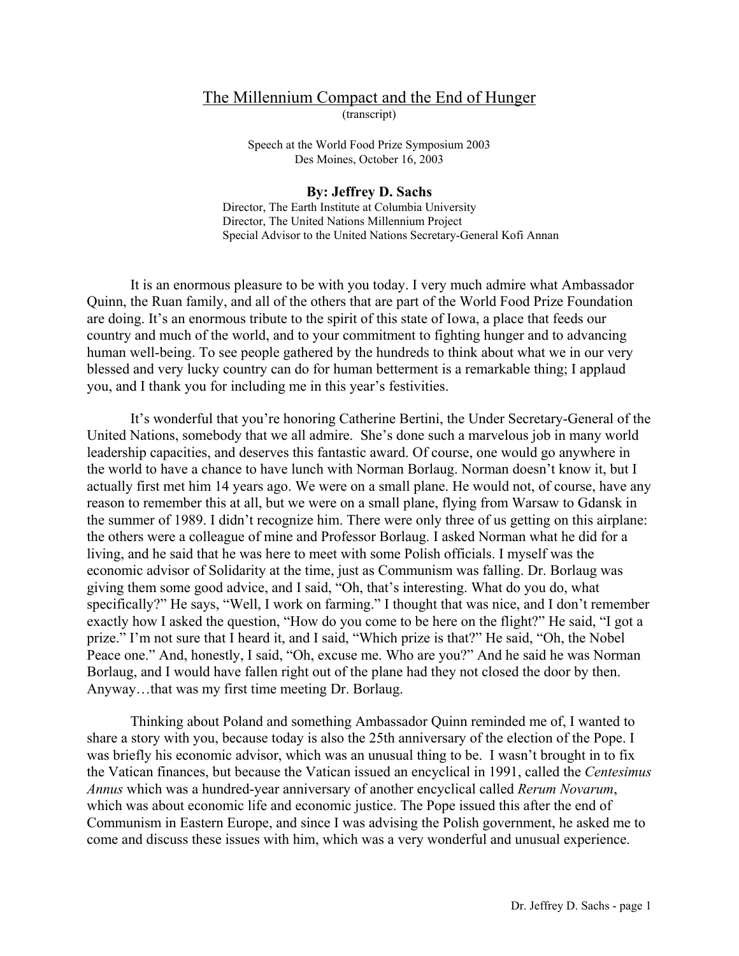## The Millennium Compact and the End of Hunger (transcript)

Speech at the World Food Prize Symposium 2003 Des Moines, October 16, 2003

## **By: Jeffrey D. Sachs**

Director, The Earth Institute at Columbia University Director, The United Nations Millennium Project Special Advisor to the United Nations Secretary-General Kofi Annan

 It is an enormous pleasure to be with you today. I very much admire what Ambassador Quinn, the Ruan family, and all of the others that are part of the World Food Prize Foundation are doing. It's an enormous tribute to the spirit of this state of Iowa, a place that feeds our country and much of the world, and to your commitment to fighting hunger and to advancing human well-being. To see people gathered by the hundreds to think about what we in our very blessed and very lucky country can do for human betterment is a remarkable thing; I applaud you, and I thank you for including me in this year's festivities.

 It's wonderful that you're honoring Catherine Bertini, the Under Secretary-General of the United Nations, somebody that we all admire. She's done such a marvelous job in many world leadership capacities, and deserves this fantastic award. Of course, one would go anywhere in the world to have a chance to have lunch with Norman Borlaug. Norman doesn't know it, but I actually first met him 14 years ago. We were on a small plane. He would not, of course, have any reason to remember this at all, but we were on a small plane, flying from Warsaw to Gdansk in the summer of 1989. I didn't recognize him. There were only three of us getting on this airplane: the others were a colleague of mine and Professor Borlaug. I asked Norman what he did for a living, and he said that he was here to meet with some Polish officials. I myself was the economic advisor of Solidarity at the time, just as Communism was falling. Dr. Borlaug was giving them some good advice, and I said, "Oh, that's interesting. What do you do, what specifically?" He says, "Well, I work on farming." I thought that was nice, and I don't remember exactly how I asked the question, "How do you come to be here on the flight?" He said, "I got a prize." I'm not sure that I heard it, and I said, "Which prize is that?" He said, "Oh, the Nobel Peace one." And, honestly, I said, "Oh, excuse me. Who are you?" And he said he was Norman Borlaug, and I would have fallen right out of the plane had they not closed the door by then. Anyway…that was my first time meeting Dr. Borlaug.

 Thinking about Poland and something Ambassador Quinn reminded me of, I wanted to share a story with you, because today is also the 25th anniversary of the election of the Pope. I was briefly his economic advisor, which was an unusual thing to be. I wasn't brought in to fix the Vatican finances, but because the Vatican issued an encyclical in 1991, called the *Centesimus Annus* which was a hundred-year anniversary of another encyclical called *Rerum Novarum*, which was about economic life and economic justice. The Pope issued this after the end of Communism in Eastern Europe, and since I was advising the Polish government, he asked me to come and discuss these issues with him, which was a very wonderful and unusual experience.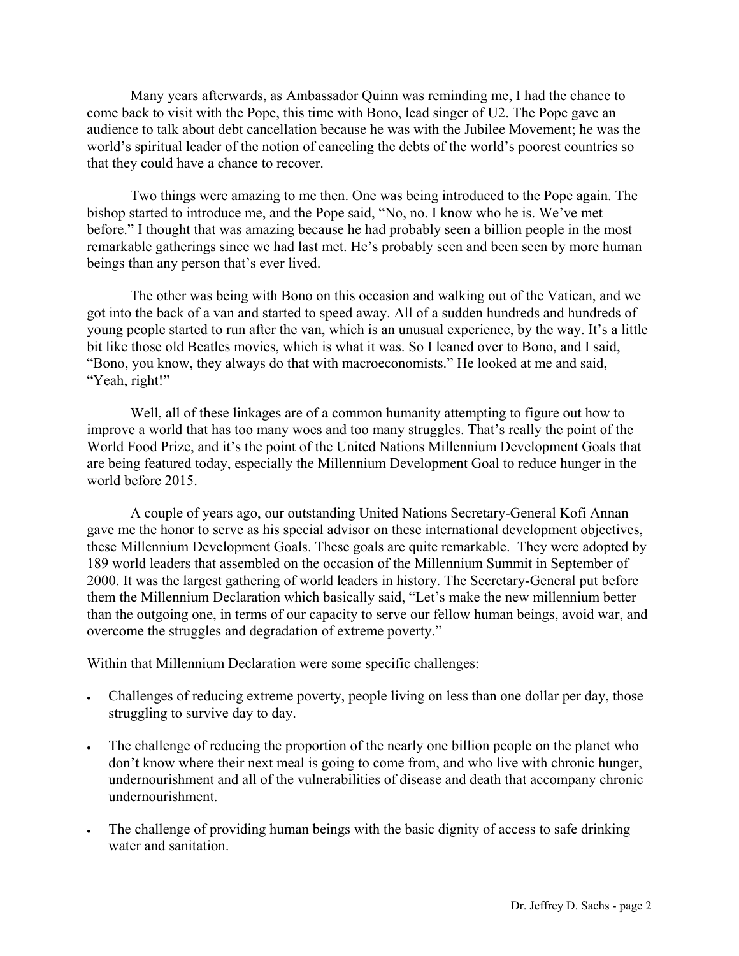Many years afterwards, as Ambassador Quinn was reminding me, I had the chance to come back to visit with the Pope, this time with Bono, lead singer of U2. The Pope gave an audience to talk about debt cancellation because he was with the Jubilee Movement; he was the world's spiritual leader of the notion of canceling the debts of the world's poorest countries so that they could have a chance to recover.

 Two things were amazing to me then. One was being introduced to the Pope again. The bishop started to introduce me, and the Pope said, "No, no. I know who he is. We've met before." I thought that was amazing because he had probably seen a billion people in the most remarkable gatherings since we had last met. He's probably seen and been seen by more human beings than any person that's ever lived.

 The other was being with Bono on this occasion and walking out of the Vatican, and we got into the back of a van and started to speed away. All of a sudden hundreds and hundreds of young people started to run after the van, which is an unusual experience, by the way. It's a little bit like those old Beatles movies, which is what it was. So I leaned over to Bono, and I said, "Bono, you know, they always do that with macroeconomists." He looked at me and said, "Yeah, right!"

 Well, all of these linkages are of a common humanity attempting to figure out how to improve a world that has too many woes and too many struggles. That's really the point of the World Food Prize, and it's the point of the United Nations Millennium Development Goals that are being featured today, especially the Millennium Development Goal to reduce hunger in the world before 2015.

 A couple of years ago, our outstanding United Nations Secretary-General Kofi Annan gave me the honor to serve as his special advisor on these international development objectives, these Millennium Development Goals. These goals are quite remarkable. They were adopted by 189 world leaders that assembled on the occasion of the Millennium Summit in September of 2000. It was the largest gathering of world leaders in history. The Secretary-General put before them the Millennium Declaration which basically said, "Let's make the new millennium better than the outgoing one, in terms of our capacity to serve our fellow human beings, avoid war, and overcome the struggles and degradation of extreme poverty."

Within that Millennium Declaration were some specific challenges:

- Challenges of reducing extreme poverty, people living on less than one dollar per day, those struggling to survive day to day.
- The challenge of reducing the proportion of the nearly one billion people on the planet who don't know where their next meal is going to come from, and who live with chronic hunger, undernourishment and all of the vulnerabilities of disease and death that accompany chronic undernourishment.
- The challenge of providing human beings with the basic dignity of access to safe drinking water and sanitation.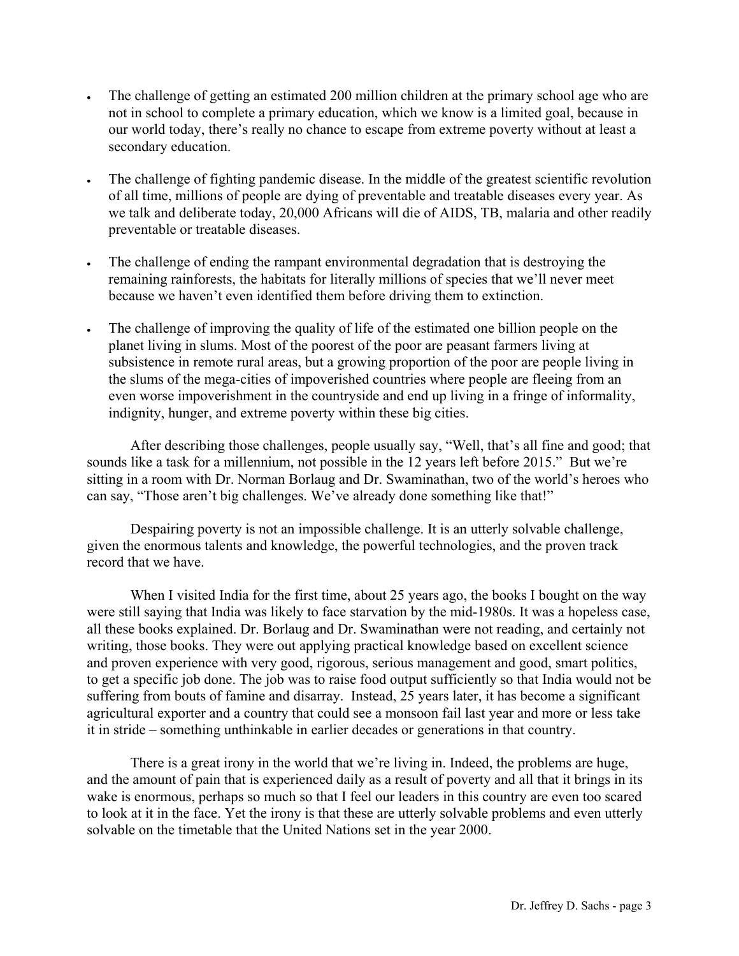- The challenge of getting an estimated 200 million children at the primary school age who are not in school to complete a primary education, which we know is a limited goal, because in our world today, there's really no chance to escape from extreme poverty without at least a secondary education.
- The challenge of fighting pandemic disease. In the middle of the greatest scientific revolution of all time, millions of people are dying of preventable and treatable diseases every year. As we talk and deliberate today, 20,000 Africans will die of AIDS, TB, malaria and other readily preventable or treatable diseases.
- The challenge of ending the rampant environmental degradation that is destroying the remaining rainforests, the habitats for literally millions of species that we'll never meet because we haven't even identified them before driving them to extinction.
- The challenge of improving the quality of life of the estimated one billion people on the planet living in slums. Most of the poorest of the poor are peasant farmers living at subsistence in remote rural areas, but a growing proportion of the poor are people living in the slums of the mega-cities of impoverished countries where people are fleeing from an even worse impoverishment in the countryside and end up living in a fringe of informality, indignity, hunger, and extreme poverty within these big cities.

 After describing those challenges, people usually say, "Well, that's all fine and good; that sounds like a task for a millennium, not possible in the 12 years left before 2015." But we're sitting in a room with Dr. Norman Borlaug and Dr. Swaminathan, two of the world's heroes who can say, "Those aren't big challenges. We've already done something like that!"

 Despairing poverty is not an impossible challenge. It is an utterly solvable challenge, given the enormous talents and knowledge, the powerful technologies, and the proven track record that we have.

When I visited India for the first time, about 25 years ago, the books I bought on the way were still saying that India was likely to face starvation by the mid-1980s. It was a hopeless case, all these books explained. Dr. Borlaug and Dr. Swaminathan were not reading, and certainly not writing, those books. They were out applying practical knowledge based on excellent science and proven experience with very good, rigorous, serious management and good, smart politics, to get a specific job done. The job was to raise food output sufficiently so that India would not be suffering from bouts of famine and disarray. Instead, 25 years later, it has become a significant agricultural exporter and a country that could see a monsoon fail last year and more or less take it in stride – something unthinkable in earlier decades or generations in that country.

 There is a great irony in the world that we're living in. Indeed, the problems are huge, and the amount of pain that is experienced daily as a result of poverty and all that it brings in its wake is enormous, perhaps so much so that I feel our leaders in this country are even too scared to look at it in the face. Yet the irony is that these are utterly solvable problems and even utterly solvable on the timetable that the United Nations set in the year 2000.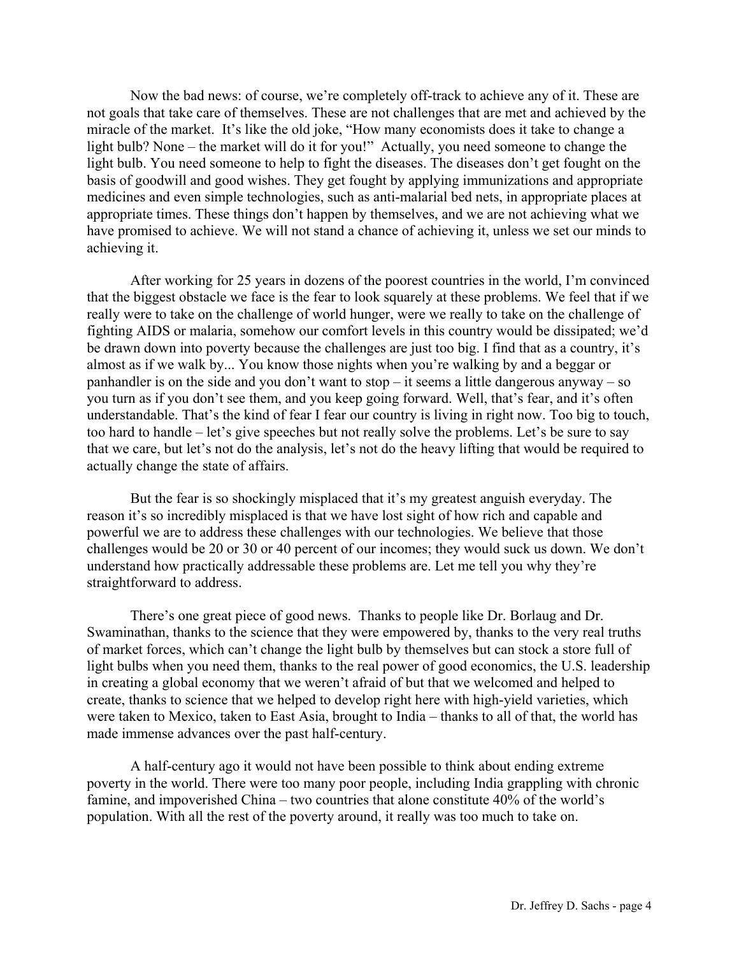Now the bad news: of course, we're completely off-track to achieve any of it. These are not goals that take care of themselves. These are not challenges that are met and achieved by the miracle of the market. It's like the old joke, "How many economists does it take to change a light bulb? None – the market will do it for you!" Actually, you need someone to change the light bulb. You need someone to help to fight the diseases. The diseases don't get fought on the basis of goodwill and good wishes. They get fought by applying immunizations and appropriate medicines and even simple technologies, such as anti-malarial bed nets, in appropriate places at appropriate times. These things don't happen by themselves, and we are not achieving what we have promised to achieve. We will not stand a chance of achieving it, unless we set our minds to achieving it.

 After working for 25 years in dozens of the poorest countries in the world, I'm convinced that the biggest obstacle we face is the fear to look squarely at these problems. We feel that if we really were to take on the challenge of world hunger, were we really to take on the challenge of fighting AIDS or malaria, somehow our comfort levels in this country would be dissipated; we'd be drawn down into poverty because the challenges are just too big. I find that as a country, it's almost as if we walk by... You know those nights when you're walking by and a beggar or panhandler is on the side and you don't want to stop – it seems a little dangerous anyway – so you turn as if you don't see them, and you keep going forward. Well, that's fear, and it's often understandable. That's the kind of fear I fear our country is living in right now. Too big to touch, too hard to handle – let's give speeches but not really solve the problems. Let's be sure to say that we care, but let's not do the analysis, let's not do the heavy lifting that would be required to actually change the state of affairs.

 But the fear is so shockingly misplaced that it's my greatest anguish everyday. The reason it's so incredibly misplaced is that we have lost sight of how rich and capable and powerful we are to address these challenges with our technologies. We believe that those challenges would be 20 or 30 or 40 percent of our incomes; they would suck us down. We don't understand how practically addressable these problems are. Let me tell you why they're straightforward to address.

 There's one great piece of good news. Thanks to people like Dr. Borlaug and Dr. Swaminathan, thanks to the science that they were empowered by, thanks to the very real truths of market forces, which can't change the light bulb by themselves but can stock a store full of light bulbs when you need them, thanks to the real power of good economics, the U.S. leadership in creating a global economy that we weren't afraid of but that we welcomed and helped to create, thanks to science that we helped to develop right here with high-yield varieties, which were taken to Mexico, taken to East Asia, brought to India – thanks to all of that, the world has made immense advances over the past half-century.

 A half-century ago it would not have been possible to think about ending extreme poverty in the world. There were too many poor people, including India grappling with chronic famine, and impoverished China – two countries that alone constitute 40% of the world's population. With all the rest of the poverty around, it really was too much to take on.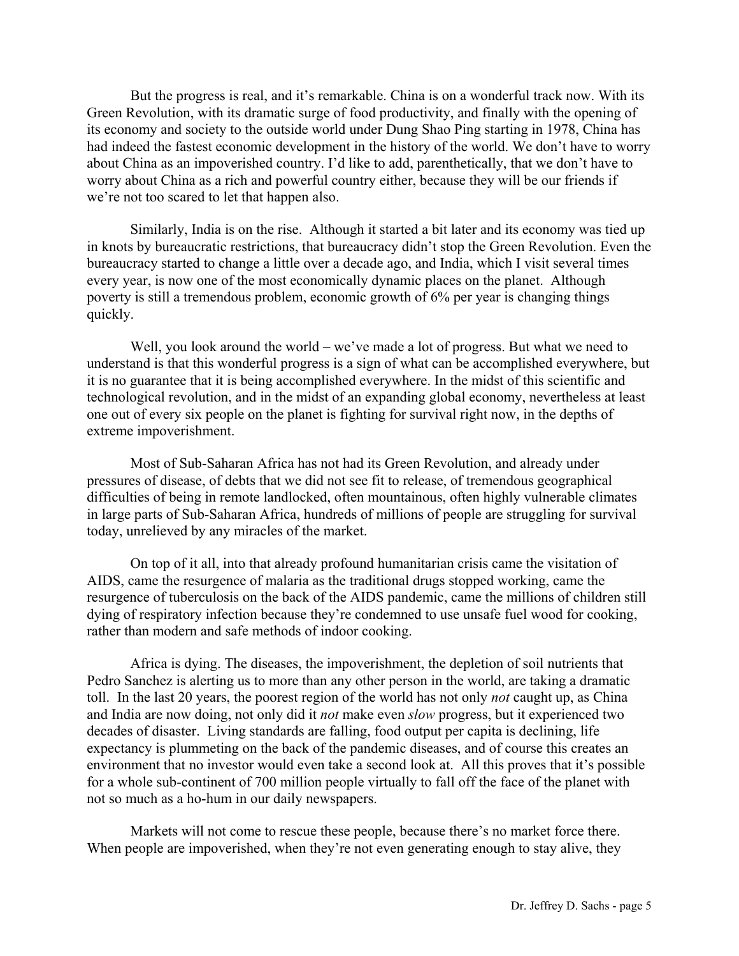But the progress is real, and it's remarkable. China is on a wonderful track now. With its Green Revolution, with its dramatic surge of food productivity, and finally with the opening of its economy and society to the outside world under Dung Shao Ping starting in 1978, China has had indeed the fastest economic development in the history of the world. We don't have to worry about China as an impoverished country. I'd like to add, parenthetically, that we don't have to worry about China as a rich and powerful country either, because they will be our friends if we're not too scared to let that happen also.

 Similarly, India is on the rise. Although it started a bit later and its economy was tied up in knots by bureaucratic restrictions, that bureaucracy didn't stop the Green Revolution. Even the bureaucracy started to change a little over a decade ago, and India, which I visit several times every year, is now one of the most economically dynamic places on the planet. Although poverty is still a tremendous problem, economic growth of 6% per year is changing things quickly.

Well, you look around the world – we've made a lot of progress. But what we need to understand is that this wonderful progress is a sign of what can be accomplished everywhere, but it is no guarantee that it is being accomplished everywhere. In the midst of this scientific and technological revolution, and in the midst of an expanding global economy, nevertheless at least one out of every six people on the planet is fighting for survival right now, in the depths of extreme impoverishment.

 Most of Sub-Saharan Africa has not had its Green Revolution, and already under pressures of disease, of debts that we did not see fit to release, of tremendous geographical difficulties of being in remote landlocked, often mountainous, often highly vulnerable climates in large parts of Sub-Saharan Africa, hundreds of millions of people are struggling for survival today, unrelieved by any miracles of the market.

 On top of it all, into that already profound humanitarian crisis came the visitation of AIDS, came the resurgence of malaria as the traditional drugs stopped working, came the resurgence of tuberculosis on the back of the AIDS pandemic, came the millions of children still dying of respiratory infection because they're condemned to use unsafe fuel wood for cooking, rather than modern and safe methods of indoor cooking.

 Africa is dying. The diseases, the impoverishment, the depletion of soil nutrients that Pedro Sanchez is alerting us to more than any other person in the world, are taking a dramatic toll. In the last 20 years, the poorest region of the world has not only *not* caught up, as China and India are now doing, not only did it *not* make even *slow* progress, but it experienced two decades of disaster. Living standards are falling, food output per capita is declining, life expectancy is plummeting on the back of the pandemic diseases, and of course this creates an environment that no investor would even take a second look at. All this proves that it's possible for a whole sub-continent of 700 million people virtually to fall off the face of the planet with not so much as a ho-hum in our daily newspapers.

 Markets will not come to rescue these people, because there's no market force there. When people are impoverished, when they're not even generating enough to stay alive, they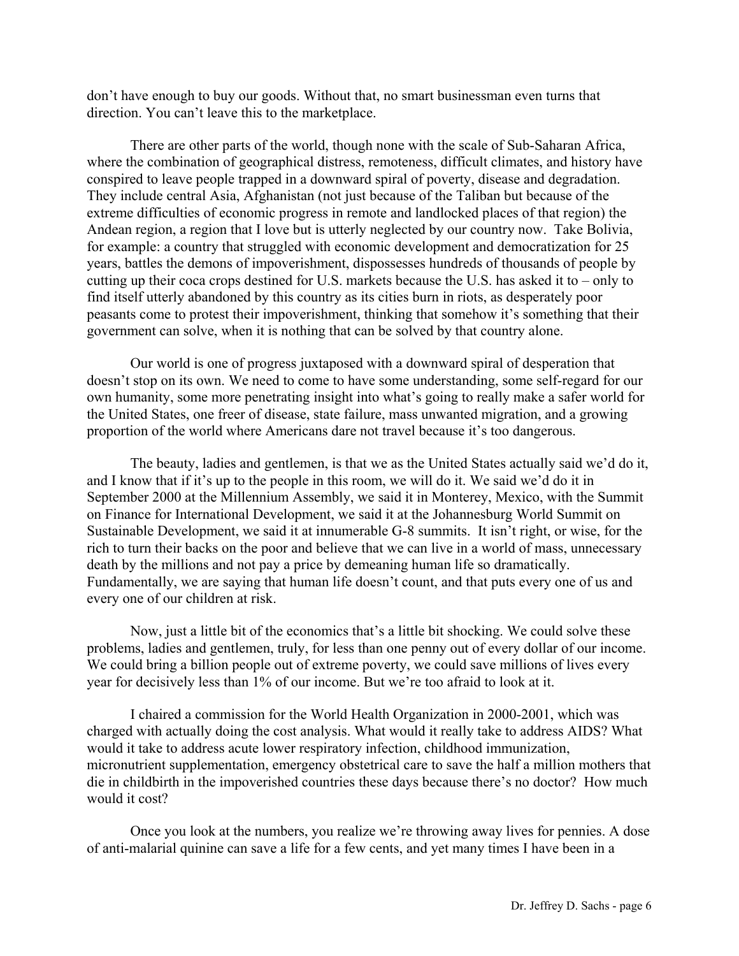don't have enough to buy our goods. Without that, no smart businessman even turns that direction. You can't leave this to the marketplace.

 There are other parts of the world, though none with the scale of Sub-Saharan Africa, where the combination of geographical distress, remoteness, difficult climates, and history have conspired to leave people trapped in a downward spiral of poverty, disease and degradation. They include central Asia, Afghanistan (not just because of the Taliban but because of the extreme difficulties of economic progress in remote and landlocked places of that region) the Andean region, a region that I love but is utterly neglected by our country now. Take Bolivia, for example: a country that struggled with economic development and democratization for 25 years, battles the demons of impoverishment, dispossesses hundreds of thousands of people by cutting up their coca crops destined for U.S. markets because the U.S. has asked it to – only to find itself utterly abandoned by this country as its cities burn in riots, as desperately poor peasants come to protest their impoverishment, thinking that somehow it's something that their government can solve, when it is nothing that can be solved by that country alone.

 Our world is one of progress juxtaposed with a downward spiral of desperation that doesn't stop on its own. We need to come to have some understanding, some self-regard for our own humanity, some more penetrating insight into what's going to really make a safer world for the United States, one freer of disease, state failure, mass unwanted migration, and a growing proportion of the world where Americans dare not travel because it's too dangerous.

 The beauty, ladies and gentlemen, is that we as the United States actually said we'd do it, and I know that if it's up to the people in this room, we will do it. We said we'd do it in September 2000 at the Millennium Assembly, we said it in Monterey, Mexico, with the Summit on Finance for International Development, we said it at the Johannesburg World Summit on Sustainable Development, we said it at innumerable G-8 summits. It isn't right, or wise, for the rich to turn their backs on the poor and believe that we can live in a world of mass, unnecessary death by the millions and not pay a price by demeaning human life so dramatically. Fundamentally, we are saying that human life doesn't count, and that puts every one of us and every one of our children at risk.

 Now, just a little bit of the economics that's a little bit shocking. We could solve these problems, ladies and gentlemen, truly, for less than one penny out of every dollar of our income. We could bring a billion people out of extreme poverty, we could save millions of lives every year for decisively less than 1% of our income. But we're too afraid to look at it.

 I chaired a commission for the World Health Organization in 2000-2001, which was charged with actually doing the cost analysis. What would it really take to address AIDS? What would it take to address acute lower respiratory infection, childhood immunization, micronutrient supplementation, emergency obstetrical care to save the half a million mothers that die in childbirth in the impoverished countries these days because there's no doctor? How much would it cost?

 Once you look at the numbers, you realize we're throwing away lives for pennies. A dose of anti-malarial quinine can save a life for a few cents, and yet many times I have been in a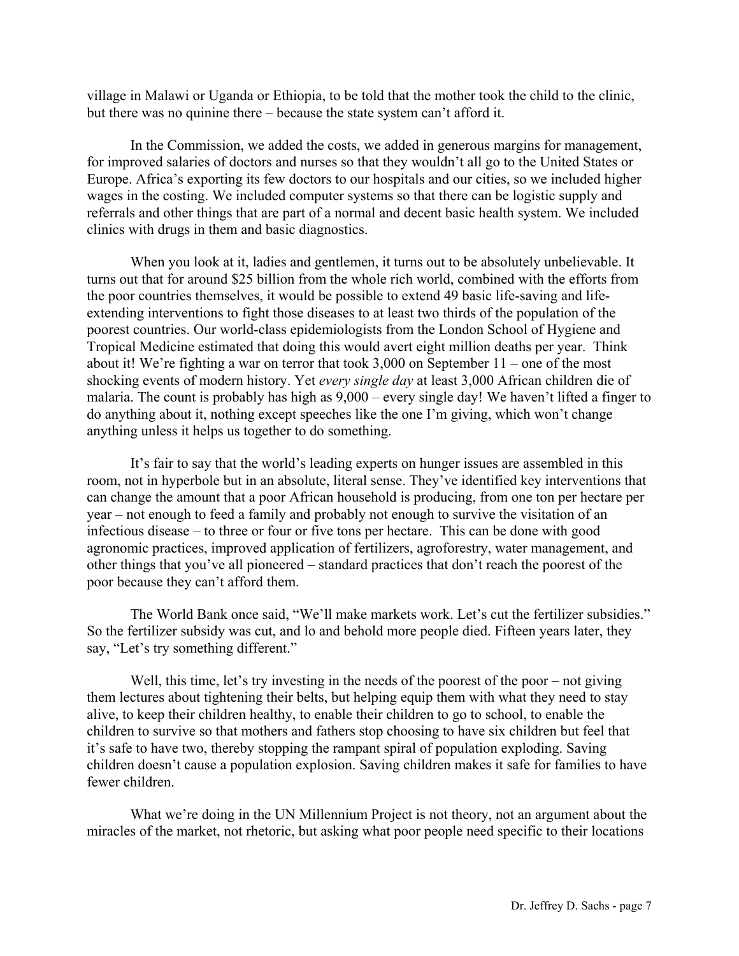village in Malawi or Uganda or Ethiopia, to be told that the mother took the child to the clinic, but there was no quinine there – because the state system can't afford it.

 In the Commission, we added the costs, we added in generous margins for management, for improved salaries of doctors and nurses so that they wouldn't all go to the United States or Europe. Africa's exporting its few doctors to our hospitals and our cities, so we included higher wages in the costing. We included computer systems so that there can be logistic supply and referrals and other things that are part of a normal and decent basic health system. We included clinics with drugs in them and basic diagnostics.

 When you look at it, ladies and gentlemen, it turns out to be absolutely unbelievable. It turns out that for around \$25 billion from the whole rich world, combined with the efforts from the poor countries themselves, it would be possible to extend 49 basic life-saving and lifeextending interventions to fight those diseases to at least two thirds of the population of the poorest countries. Our world-class epidemiologists from the London School of Hygiene and Tropical Medicine estimated that doing this would avert eight million deaths per year. Think about it! We're fighting a war on terror that took 3,000 on September 11 – one of the most shocking events of modern history. Yet *every single day* at least 3,000 African children die of malaria. The count is probably has high as 9,000 – every single day! We haven't lifted a finger to do anything about it, nothing except speeches like the one I'm giving, which won't change anything unless it helps us together to do something.

 It's fair to say that the world's leading experts on hunger issues are assembled in this room, not in hyperbole but in an absolute, literal sense. They've identified key interventions that can change the amount that a poor African household is producing, from one ton per hectare per year – not enough to feed a family and probably not enough to survive the visitation of an infectious disease – to three or four or five tons per hectare. This can be done with good agronomic practices, improved application of fertilizers, agroforestry, water management, and other things that you've all pioneered – standard practices that don't reach the poorest of the poor because they can't afford them.

 The World Bank once said, "We'll make markets work. Let's cut the fertilizer subsidies." So the fertilizer subsidy was cut, and lo and behold more people died. Fifteen years later, they say, "Let's try something different."

Well, this time, let's try investing in the needs of the poorest of the poor – not giving them lectures about tightening their belts, but helping equip them with what they need to stay alive, to keep their children healthy, to enable their children to go to school, to enable the children to survive so that mothers and fathers stop choosing to have six children but feel that it's safe to have two, thereby stopping the rampant spiral of population exploding. Saving children doesn't cause a population explosion. Saving children makes it safe for families to have fewer children.

 What we're doing in the UN Millennium Project is not theory, not an argument about the miracles of the market, not rhetoric, but asking what poor people need specific to their locations